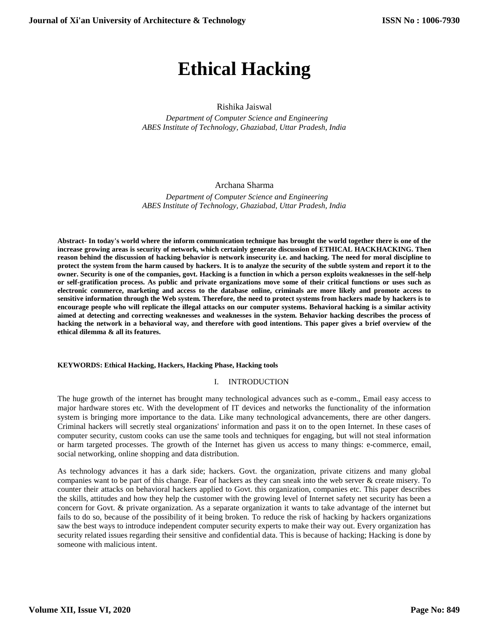# **Ethical Hacking**

# Rishika Jaiswal

 *Department of Computer Science and Engineering ABES Institute of Technology, Ghaziabad, Uttar Pradesh, India*

# Archana Sharma

 *Department of Computer Science and Engineering ABES Institute of Technology, Ghaziabad, Uttar Pradesh, India*

**Abstract- In today's world where the inform communication technique has brought the world together there is one of the increase growing areas is security of network, which certainly generate discussion of ETHICAL HACKHACKING. Then reason behind the discussion of hacking behavior is network insecurity i.e. and hacking. The need for moral discipline to protect the system from the harm caused by hackers. It is to analyze the security of the subtle system and report it to the owner. Security is one of the companies, govt. Hacking is a function in which a person exploits weaknesses in the self-help or self-gratification process. As public and private organizations move some of their critical functions or uses such as electronic commerce, marketing and access to the database online, criminals are more likely and promote access to sensitive information through the Web system. Therefore, the need to protect systems from hackers made by hackers is to encourage people who will replicate the illegal attacks on our computer systems. Behavioral hacking is a similar activity aimed at detecting and correcting weaknesses and weaknesses in the system. Behavior hacking describes the process of hacking the network in a behavioral way, and therefore with good intentions. This paper gives a brief overview of the ethical dilemma & all its features.**

## **KEYWORDS: Ethical Hacking, Hackers, Hacking Phase, Hacking tools**

#### I. INTRODUCTION

The huge growth of the internet has brought many technological advances such as e-comm., Email easy access to major hardware stores etc. With the development of IT devices and networks the functionality of the information system is bringing more importance to the data. Like many technological advancements, there are other dangers. Criminal hackers will secretly steal organizations' information and pass it on to the open Internet. In these cases of computer security, custom cooks can use the same tools and techniques for engaging, but will not steal information or harm targeted processes. The growth of the Internet has given us access to many things: e-commerce, email, social networking, online shopping and data distribution.

As technology advances it has a dark side; hackers. Govt. the organization, private citizens and many global companies want to be part of this change. Fear of hackers as they can sneak into the web server & create misery. To counter their attacks on behavioral hackers applied to Govt. this organization, companies etc. This paper describes the skills, attitudes and how they help the customer with the growing level of Internet safety net security has been a concern for Govt. & private organization. As a separate organization it wants to take advantage of the internet but fails to do so, because of the possibility of it being broken. To reduce the risk of hacking by hackers organizations saw the best ways to introduce independent computer security experts to make their way out. Every organization has security related issues regarding their sensitive and confidential data. This is because of hacking; Hacking is done by someone with malicious intent.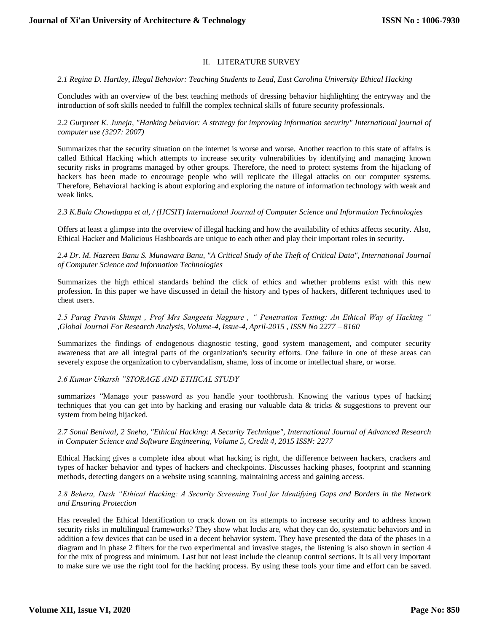# II. LITERATURE SURVEY

## *2.1 Regina D. Hartley, Illegal Behavior: Teaching Students to Lead, East Carolina University Ethical Hacking*

Concludes with an overview of the best teaching methods of dressing behavior highlighting the entryway and the introduction of soft skills needed to fulfill the complex technical skills of future security professionals.

*2.2 Gurpreet K. Juneja, "Hanking behavior: A strategy for improving information security" International journal of computer use (3297: 2007)*

Summarizes that the security situation on the internet is worse and worse. Another reaction to this state of affairs is called Ethical Hacking which attempts to increase security vulnerabilities by identifying and managing known security risks in programs managed by other groups. Therefore, the need to protect systems from the hijacking of hackers has been made to encourage people who will replicate the illegal attacks on our computer systems. Therefore, Behavioral hacking is about exploring and exploring the nature of information technology with weak and weak links.

*2.3 K.Bala Chowdappa et al, / (IJCSIT) International Journal of Computer Science and Information Technologies*

Offers at least a glimpse into the overview of illegal hacking and how the availability of ethics affects security. Also, Ethical Hacker and Malicious Hashboards are unique to each other and play their important roles in security.

*2.4 Dr. M. Nazreen Banu S. Munawara Banu, "A Critical Study of the Theft of Critical Data", International Journal of Computer Science and Information Technologies*

Summarizes the high ethical standards behind the click of ethics and whether problems exist with this new profession. In this paper we have discussed in detail the history and types of hackers, different techniques used to cheat users.

*2.5 Parag Pravin Shimpi , Prof Mrs Sangeeta Nagpure , " Penetration Testing: An Ethical Way of Hacking " ,Global Journal For Research Analysis, Volume-4, Issue-4, April-2015 , ISSN No 2277 – 8160*

Summarizes the findings of endogenous diagnostic testing, good system management, and computer security awareness that are all integral parts of the organization's security efforts. One failure in one of these areas can severely expose the organization to cybervandalism, shame, loss of income or intellectual share, or worse.

*2.6 Kumar Utkarsh "STORAGE AND ETHICAL STUDY*

summarizes "Manage your password as you handle your toothbrush. Knowing the various types of hacking techniques that you can get into by hacking and erasing our valuable data & tricks & suggestions to prevent our system from being hijacked.

*2.7 Sonal Beniwal, 2 Sneha, "Ethical Hacking: A Security Technique", International Journal of Advanced Research in Computer Science and Software Engineering, Volume 5, Credit 4, 2015 ISSN: 2277*

Ethical Hacking gives a complete idea about what hacking is right, the difference between hackers, crackers and types of hacker behavior and types of hackers and checkpoints. Discusses hacking phases, footprint and scanning methods, detecting dangers on a website using scanning, maintaining access and gaining access.

# *2.8 Behera, Dash "Ethical Hacking: A Security Screening Tool for Identifying Gaps and Borders in the Network and Ensuring Protection*

Has revealed the Ethical Identification to crack down on its attempts to increase security and to address known security risks in multilingual frameworks? They show what locks are, what they can do, systematic behaviors and in addition a few devices that can be used in a decent behavior system. They have presented the data of the phases in a diagram and in phase 2 filters for the two experimental and invasive stages, the listening is also shown in section 4 for the mix of progress and minimum. Last but not least include the cleanup control sections. It is all very important to make sure we use the right tool for the hacking process. By using these tools your time and effort can be saved.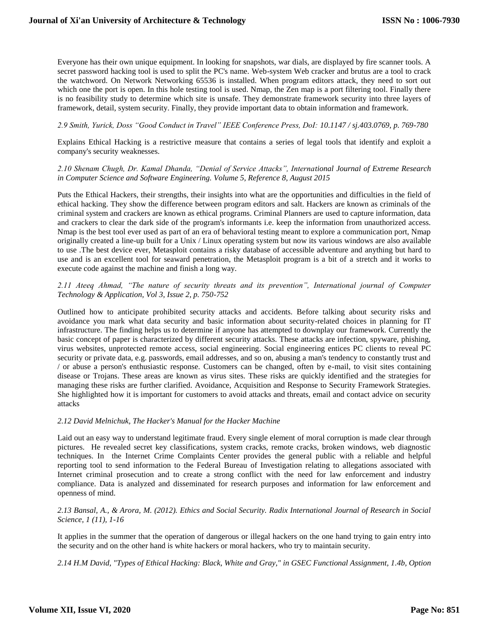Everyone has their own unique equipment. In looking for snapshots, war dials, are displayed by fire scanner tools. A secret password hacking tool is used to split the PC's name. Web-system Web cracker and brutus are a tool to crack the watchword. On Network Networking 65536 is installed. When program editors attack, they need to sort out which one the port is open. In this hole testing tool is used. Nmap, the Zen map is a port filtering tool. Finally there is no feasibility study to determine which site is unsafe. They demonstrate framework security into three layers of framework, detail, system security. Finally, they provide important data to obtain information and framework.

## *2.9 Smith, Yurick, Doss "Good Conduct in Travel" IEEE Conference Press, DoI: 10.1147 / sj.403.0769, p. 769-780*

Explains Ethical Hacking is a restrictive measure that contains a series of legal tools that identify and exploit a company's security weaknesses.

## *2.10 Shenam Chugh, Dr. Kamal Dhanda, "Denial of Service Attacks", International Journal of Extreme Research in Computer Science and Software Engineering. Volume 5, Reference 8, August 2015*

Puts the Ethical Hackers, their strengths, their insights into what are the opportunities and difficulties in the field of ethical hacking. They show the difference between program editors and salt. Hackers are known as criminals of the criminal system and crackers are known as ethical programs. Criminal Planners are used to capture information, data and crackers to clear the dark side of the program's informants i.e. keep the information from unauthorized access. Nmap is the best tool ever used as part of an era of behavioral testing meant to explore a communication port, Nmap originally created a line-up built for a Unix / Linux operating system but now its various windows are also available to use .The best device ever, Metasploit contains a risky database of accessible adventure and anything but hard to use and is an excellent tool for seaward penetration, the Metasploit program is a bit of a stretch and it works to execute code against the machine and finish a long way.

# *2.11 Ateeq Ahmad, "The nature of security threats and its prevention", International journal of Computer Technology & Application, Vol 3, Issue 2, p. 750-752*

Outlined how to anticipate prohibited security attacks and accidents. Before talking about security risks and avoidance you mark what data security and basic information about security-related choices in planning for IT infrastructure. The finding helps us to determine if anyone has attempted to downplay our framework. Currently the basic concept of paper is characterized by different security attacks. These attacks are infection, spyware, phishing, virus websites, unprotected remote access, social engineering. Social engineering entices PC clients to reveal PC security or private data, e.g. passwords, email addresses, and so on, abusing a man's tendency to constantly trust and / or abuse a person's enthusiastic response. Customers can be changed, often by e-mail, to visit sites containing disease or Trojans. These areas are known as virus sites. These risks are quickly identified and the strategies for managing these risks are further clarified. Avoidance, Acquisition and Response to Security Framework Strategies. She highlighted how it is important for customers to avoid attacks and threats, email and contact advice on security attacks

#### *2.12 David Melnichuk, The Hacker's Manual for the Hacker Machine*

Laid out an easy way to understand legitimate fraud. Every single element of moral corruption is made clear through pictures. He revealed secret key classifications, system cracks, remote cracks, broken windows, web diagnostic techniques. In the Internet Crime Complaints Center provides the general public with a reliable and helpful reporting tool to send information to the Federal Bureau of Investigation relating to allegations associated with Internet criminal prosecution and to create a strong conflict with the need for law enforcement and industry compliance. Data is analyzed and disseminated for research purposes and information for law enforcement and openness of mind.

#### *2.13 Bansal, A., & Arora, M. (2012). Ethics and Social Security. Radix International Journal of Research in Social Science, 1 (11), 1-16*

It applies in the summer that the operation of dangerous or illegal hackers on the one hand trying to gain entry into the security and on the other hand is white hackers or moral hackers, who try to maintain security.

*2.14 H.M David, "Types of Ethical Hacking: Black, White and Gray," in GSEC Functional Assignment, 1.4b, Option*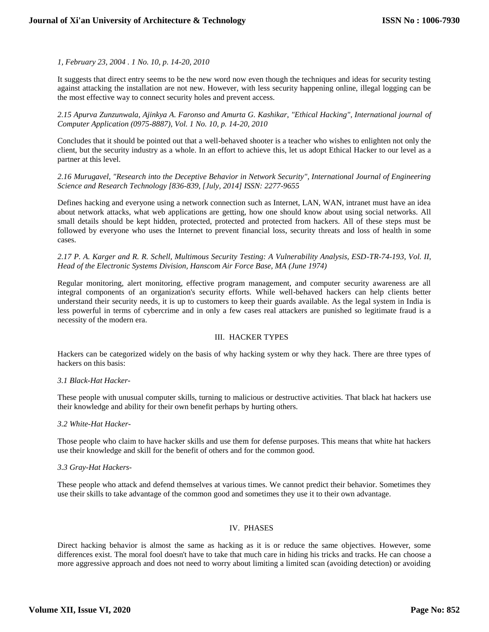*1, February 23, 2004 . 1 No. 10, p. 14-20, 2010*

It suggests that direct entry seems to be the new word now even though the techniques and ideas for security testing against attacking the installation are not new. However, with less security happening online, illegal logging can be the most effective way to connect security holes and prevent access.

*2.15 Apurva Zunzunwala, Ajinkya A. Faronso and Amurta G. Kashikar, "Ethical Hacking", International journal of Computer Application (0975-8887), Vol. 1 No. 10, p. 14-20, 2010*

Concludes that it should be pointed out that a well-behaved shooter is a teacher who wishes to enlighten not only the client, but the security industry as a whole. In an effort to achieve this, let us adopt Ethical Hacker to our level as a partner at this level.

*2.16 Murugavel, "Research into the Deceptive Behavior in Network Security", International Journal of Engineering Science and Research Technology [836-839, [July, 2014] ISSN: 2277-9655*

Defines hacking and everyone using a network connection such as Internet, LAN, WAN, intranet must have an idea about network attacks, what web applications are getting, how one should know about using social networks. All small details should be kept hidden, protected, protected and protected from hackers. All of these steps must be followed by everyone who uses the Internet to prevent financial loss, security threats and loss of health in some cases.

*2.17 P. A. Karger and R. R. Schell, Multimous Security Testing: A Vulnerability Analysis, ESD-TR-74-193, Vol. II, Head of the Electronic Systems Division, Hanscom Air Force Base, MA (June 1974)*

Regular monitoring, alert monitoring, effective program management, and computer security awareness are all integral components of an organization's security efforts. While well-behaved hackers can help clients better understand their security needs, it is up to customers to keep their guards available. As the legal system in India is less powerful in terms of cybercrime and in only a few cases real attackers are punished so legitimate fraud is a necessity of the modern era.

## III. HACKER TYPES

Hackers can be categorized widely on the basis of why hacking system or why they hack. There are three types of hackers on this basis:

#### *3.1 Black-Hat Hacker-*

These people with unusual computer skills, turning to malicious or destructive activities. That black hat hackers use their knowledge and ability for their own benefit perhaps by hurting others.

#### *3.2 White-Hat Hacker-*

Those people who claim to have hacker skills and use them for defense purposes. This means that white hat hackers use their knowledge and skill for the benefit of others and for the common good.

#### *3.3 Gray-Hat Hackers-*

These people who attack and defend themselves at various times. We cannot predict their behavior. Sometimes they use their skills to take advantage of the common good and sometimes they use it to their own advantage.

#### IV. PHASES

Direct hacking behavior is almost the same as hacking as it is or reduce the same objectives. However, some differences exist. The moral fool doesn't have to take that much care in hiding his tricks and tracks. He can choose a more aggressive approach and does not need to worry about limiting a limited scan (avoiding detection) or avoiding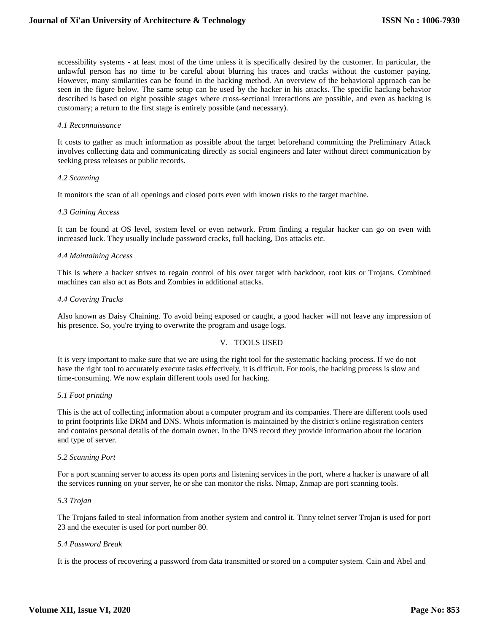accessibility systems - at least most of the time unless it is specifically desired by the customer. In particular, the unlawful person has no time to be careful about blurring his traces and tracks without the customer paying. However, many similarities can be found in the hacking method. An overview of the behavioral approach can be seen in the figure below. The same setup can be used by the hacker in his attacks. The specific hacking behavior described is based on eight possible stages where cross-sectional interactions are possible, and even as hacking is customary; a return to the first stage is entirely possible (and necessary).

#### *4.1 Reconnaissance*

It costs to gather as much information as possible about the target beforehand committing the Preliminary Attack involves collecting data and communicating directly as social engineers and later without direct communication by seeking press releases or public records.

#### *4.2 Scanning*

It monitors the scan of all openings and closed ports even with known risks to the target machine.

#### *4.3 Gaining Access*

It can be found at OS level, system level or even network. From finding a regular hacker can go on even with increased luck. They usually include password cracks, full hacking, Dos attacks etc.

#### *4.4 Maintaining Access*

This is where a hacker strives to regain control of his over target with backdoor, root kits or Trojans. Combined machines can also act as Bots and Zombies in additional attacks.

#### *4.4 Covering Tracks*

Also known as Daisy Chaining. To avoid being exposed or caught, a good hacker will not leave any impression of his presence. So, you're trying to overwrite the program and usage logs.

### V. TOOLS USED

It is very important to make sure that we are using the right tool for the systematic hacking process. If we do not have the right tool to accurately execute tasks effectively, it is difficult. For tools, the hacking process is slow and time-consuming. We now explain different tools used for hacking.

#### *5.1 Foot printing*

This is the act of collecting information about a computer program and its companies. There are different tools used to print footprints like DRM and DNS. Whois information is maintained by the district's online registration centers and contains personal details of the domain owner. In the DNS record they provide information about the location and type of server.

#### *5.2 Scanning Port*

For a port scanning server to access its open ports and listening services in the port, where a hacker is unaware of all the services running on your server, he or she can monitor the risks. Nmap, Znmap are port scanning tools.

#### *5.3 Trojan*

The Trojans failed to steal information from another system and control it. Tinny telnet server Trojan is used for port 23 and the executer is used for port number 80.

## *5.4 Password Break*

It is the process of recovering a password from data transmitted or stored on a computer system. Cain and Abel and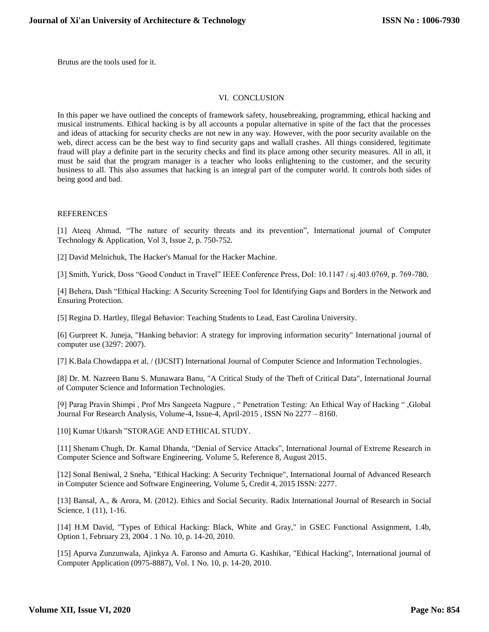Brutus are the tools used for it.

#### VI. CONCLUSION

In this paper we have outlined the concepts of framework safety, housebreaking, programming, ethical hacking and musical instruments. Ethical hacking is by all accounts a popular alternative in spite of the fact that the processes and ideas of attacking for security checks are not new in any way. However, with the poor security available on the web, direct access can be the best way to find security gaps and wallall crashes. All things considered, legitimate fraud will play a definite part in the security checks and find its place among other security measures. All in all, it must be said that the program manager is a teacher who looks enlightening to the customer, and the security business to all. This also assumes that hacking is an integral part of the computer world. It controls both sides of being good and bad.

#### REFERENCES

[1] Ateeq Ahmad, "The nature of security threats and its prevention", International journal of Computer Technology & Application, Vol 3, Issue 2, p. 750-752.

[2] David Melnichuk, The Hacker's Manual for the Hacker Machine.

[3] Smith, Yurick, Doss "Good Conduct in Travel" IEEE Conference Press, DoI: 10.1147 / sj.403.0769, p. 769-780.

[4] Behera, Dash "Ethical Hacking: A Security Screening Tool for Identifying Gaps and Borders in the Network and Ensuring Protection.

[5] Regina D. Hartley, Illegal Behavior: Teaching Students to Lead, East Carolina University.

[6] Gurpreet K. Juneja, "Hanking behavior: A strategy for improving information security" International journal of computer use (3297: 2007).

[7] K.Bala Chowdappa et al, / (IJCSIT) International Journal of Computer Science and Information Technologies.

[8] Dr. M. Nazreen Banu S. Munawara Banu, "A Critical Study of the Theft of Critical Data", International Journal of Computer Science and Information Technologies.

[9] Parag Pravin Shimpi , Prof Mrs Sangeeta Nagpure , " Penetration Testing: An Ethical Way of Hacking " ,Global Journal For Research Analysis, Volume-4, Issue-4, April-2015 , ISSN No 2277 – 8160.

[10] Kumar Utkarsh "STORAGE AND ETHICAL STUDY.

[11] Shenam Chugh, Dr. Kamal Dhanda, "Denial of Service Attacks", International Journal of Extreme Research in Computer Science and Software Engineering. Volume 5, Reference 8, August 2015.

[12] Sonal Beniwal, 2 Sneha, "Ethical Hacking: A Security Technique", International Journal of Advanced Research in Computer Science and Software Engineering, Volume 5, Credit 4, 2015 ISSN: 2277.

[13] Bansal, A., & Arora, M. (2012). Ethics and Social Security. Radix International Journal of Research in Social Science, 1 (11), 1-16.

[14] H.M David, "Types of Ethical Hacking: Black, White and Gray," in GSEC Functional Assignment, 1.4b, Option 1, February 23, 2004 . 1 No. 10, p. 14-20, 2010.

[15] Apurva Zunzunwala, Ajinkya A. Faronso and Amurta G. Kashikar, "Ethical Hacking", International journal of Computer Application (0975-8887), Vol. 1 No. 10, p. 14-20, 2010.